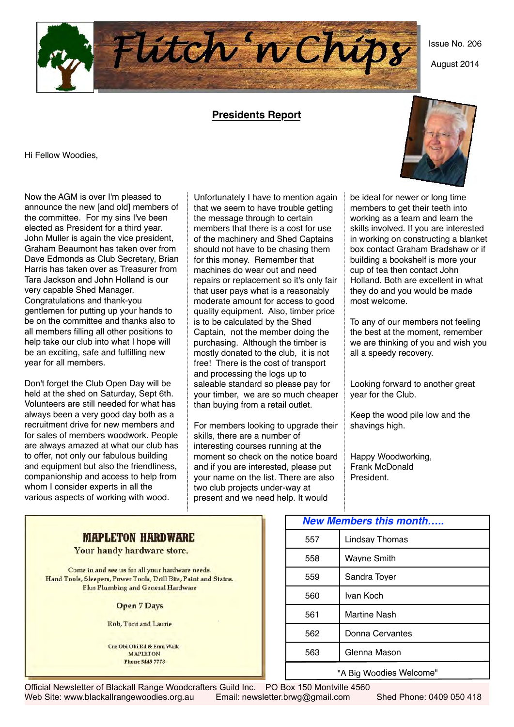

### **Presidents Report**

Hi Fellow Woodies,

Now the AGM is over I'm pleased to announce the new [and old] members of the committee. For my sins I've been elected as President for a third year. John Muller is again the vice president, Graham Beaumont has taken over from Dave Edmonds as Club Secretary, Brian Harris has taken over as Treasurer from Tara Jackson and John Holland is our very capable Shed Manager. Congratulations and thank-you gentlemen for putting up your hands to be on the committee and thanks also to all members filling all other positions to help take our club into what I hope will be an exciting, safe and fulfilling new year for all members.

Don't forget the Club Open Day will be held at the shed on Saturday, Sept 6th. Volunteers are still needed for what has always been a very good day both as a recruitment drive for new members and for sales of members woodwork. People are always amazed at what our club has to offer, not only our fabulous building and equipment but also the friendliness, companionship and access to help from whom I consider experts in all the various aspects of working with wood.

Unfortunately I have to mention again that we seem to have trouble getting the message through to certain members that there is a cost for use of the machinery and Shed Captains should not have to be chasing them for this money. Remember that machines do wear out and need repairs or replacement so it's only fair that user pays what is a reasonably moderate amount for access to good quality equipment. Also, timber price is to be calculated by the Shed Captain, not the member doing the purchasing. Although the timber is mostly donated to the club, it is not free! There is the cost of transport and processing the logs up to saleable standard so please pay for your timber, we are so much cheaper than buying from a retail outlet.

For members looking to upgrade their skills, there are a number of interesting courses running at the moment so check on the notice board and if you are interested, please put your name on the list. There are also two club projects under-way at present and we need help. It would

be ideal for newer or long time members to get their teeth into working as a team and learn the skills involved. If you are interested in working on constructing a blanket box contact Graham Bradshaw or if building a bookshelf is more your cup of tea then contact John Holland. Both are excellent in what they do and you would be made most welcome.

To any of our members not feeling the best at the moment, remember we are thinking of you and wish you all a speedy recovery.

Looking forward to another great year for the Club.

Keep the wood pile low and the shavings high.

Happy Woodworking, Frank McDonald President.

| <b>New Members this month</b> |                     |  |  |  |  |  |  |
|-------------------------------|---------------------|--|--|--|--|--|--|
| 557                           | Lindsav Thomas      |  |  |  |  |  |  |
| 558                           | Wayne Smith         |  |  |  |  |  |  |
| 559<br>Sandra Tover           |                     |  |  |  |  |  |  |
| 560                           | Ivan Koch           |  |  |  |  |  |  |
| 561                           | <b>Martine Nash</b> |  |  |  |  |  |  |
| 562                           | Donna Cervantes     |  |  |  |  |  |  |
| Glenna Mason<br>563           |                     |  |  |  |  |  |  |
| "A Big Woodies Welcome"       |                     |  |  |  |  |  |  |

**MAPLETON HARDWARE** 

Your handy hardware store.

Come in and see us for all your hardware needs. Hand Tools, Sleepers, Power Tools, Drill Bits, Paint and Stains. Plus Plumbing and General Hardware

**Open 7 Days** 

Rob, Toni and Laurie

Cur Obi Obi Rd & Fum Walk **MAPLETON Phone 5445 7773** 

Official Newsletter of Blackall Range Woodcrafters Guild Inc. PO Box 150 Montville 4560 Web Site: www.blackallrangewoodies.org.au Email: newsletter.brwg@gmail.com Shed Phone: 0409 050 418



Issue No. 206

August 2014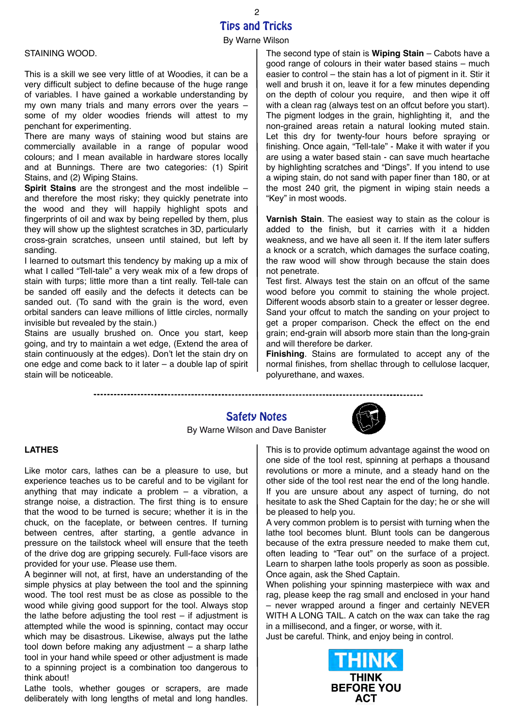### Tips and Tricks By Warne Wilson 2

#### STAINING WOOD.

This is a skill we see very little of at Woodies, it can be a very difficult subject to define because of the huge range of variables. I have gained a workable understanding by my own many trials and many errors over the years – some of my older woodies friends will attest to my penchant for experimenting.

There are many ways of staining wood but stains are commercially available in a range of popular wood colours; and I mean available in hardware stores locally and at Bunnings. There are two categories: (1) Spirit Stains, and (2) Wiping Stains.

**Spirit Stains** are the strongest and the most indelible – and therefore the most risky; they quickly penetrate into the wood and they will happily highlight spots and fingerprints of oil and wax by being repelled by them, plus they will show up the slightest scratches in 3D, particularly cross-grain scratches, unseen until stained, but left by sanding.

I learned to outsmart this tendency by making up a mix of what I called "Tell-tale" a very weak mix of a few drops of stain with turps; little more than a tint really. Tell-tale can be sanded off easily and the defects it detects can be sanded out. (To sand with the grain is the word, even orbital sanders can leave millions of little circles, normally invisible but revealed by the stain.)

Stains are usually brushed on. Once you start, keep going, and try to maintain a wet edge, (Extend the area of stain continuously at the edges). Don't let the stain dry on one edge and come back to it later – a double lap of spirit stain will be noticeable.

The second type of stain is **Wiping Stain** – Cabots have a good range of colours in their water based stains – much easier to control – the stain has a lot of pigment in it. Stir it well and brush it on, leave it for a few minutes depending on the depth of colour you require, and then wipe it off with a clean rag (always test on an offcut before you start). The pigment lodges in the grain, highlighting it, and the non-grained areas retain a natural looking muted stain. Let this dry for twenty-four hours before spraying or finishing. Once again, "Tell-tale" - Make it with water if you are using a water based stain - can save much heartache by highlighting scratches and "Dings". If you intend to use a wiping stain, do not sand with paper finer than 180, or at the most 240 grit, the pigment in wiping stain needs a "Key" in most woods.

**Varnish Stain**. The easiest way to stain as the colour is added to the finish, but it carries with it a hidden weakness, and we have all seen it. If the item later suffers a knock or a scratch, which damages the surface coating, the raw wood will show through because the stain does not penetrate.

Test first. Always test the stain on an offcut of the same wood before you commit to staining the whole project. Different woods absorb stain to a greater or lesser degree. Sand your offcut to match the sanding on your project to get a proper comparison. Check the effect on the end grain; end-grain will absorb more stain than the long-grain and will therefore be darker.

**Finishing**. Stains are formulated to accept any of the normal finishes, from shellac through to cellulose lacquer, polyurethane, and waxes.

------------

# Safety Notes



By Warne Wilson and Dave Banister

### **LATHES**

Like motor cars, lathes can be a pleasure to use, but experience teaches us to be careful and to be vigilant for anything that may indicate a problem – a vibration, a strange noise, a distraction. The first thing is to ensure that the wood to be turned is secure; whether it is in the chuck, on the faceplate, or between centres. If turning between centres, after starting, a gentle advance in pressure on the tailstock wheel will ensure that the teeth of the drive dog are gripping securely. Full-face visors are provided for your use. Please use them.

A beginner will not, at first, have an understanding of the simple physics at play between the tool and the spinning wood. The tool rest must be as close as possible to the wood while giving good support for the tool. Always stop the lathe before adjusting the tool rest  $-$  if adjustment is attempted while the wood is spinning, contact may occur which may be disastrous. Likewise, always put the lathe tool down before making any adjustment – a sharp lathe tool in your hand while speed or other adjustment is made to a spinning project is a combination too dangerous to think about!

Lathe tools, whether gouges or scrapers, are made deliberately with long lengths of metal and long handles. This is to provide optimum advantage against the wood on one side of the tool rest, spinning at perhaps a thousand revolutions or more a minute, and a steady hand on the other side of the tool rest near the end of the long handle. If you are unsure about any aspect of turning, do not hesitate to ask the Shed Captain for the day; he or she will be pleased to help you.

A very common problem is to persist with turning when the lathe tool becomes blunt. Blunt tools can be dangerous because of the extra pressure needed to make them cut, often leading to "Tear out" on the surface of a project. Learn to sharpen lathe tools properly as soon as possible. Once again, ask the Shed Captain.

When polishing your spinning masterpiece with wax and rag, please keep the rag small and enclosed in your hand – never wrapped around a finger and certainly NEVER WITH A LONG TAIL. A catch on the wax can take the rag in a millisecond, and a finger, or worse, with it. Just be careful. Think, and enjoy being in control.



**BEFORE YOU ACT**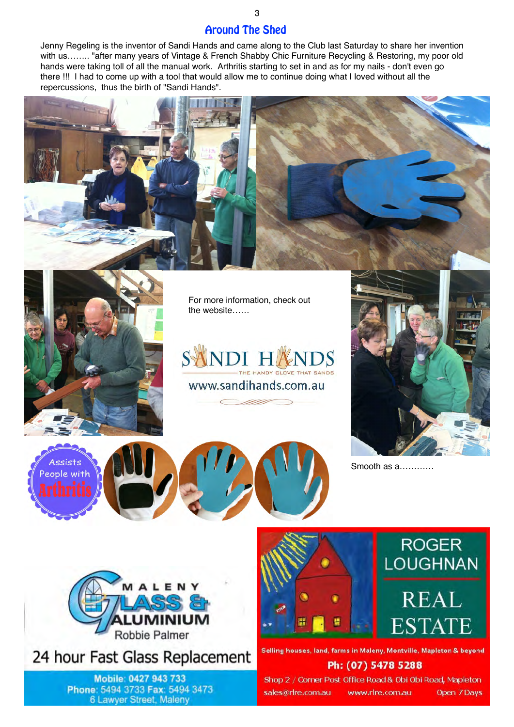Around The Shed

Jenny Regeling is the inventor of Sandi Hands and came along to the Club last Saturday to share her invention with us…….. "after many years of Vintage & French Shabby Chic Furniture Recycling & Restoring, my poor old hands were taking toll of all the manual work. Arthritis starting to set in and as for my nails - don't even go there !!! I had to come up with a tool that would allow me to continue doing what I loved without all the repercussions, thus the birth of "Sandi Hands".





For more information, check out the website……







Smooth as a…………



24 hour Fast Glass Replacement

Mobile: 0427 943 733 Phone: 5494 3733 Fax: 5494 3473 6 Lawyer Street, Maleny





Selling houses, land, farms in Maleny, Montville, Mapleton & beyond

## Ph: (07) 5478 5288

Shop 2 / Corner Post Office Road & Obi Obi Road, Mapleton sales@rlre.com.au www.rlre.com.au Open 7 Days

3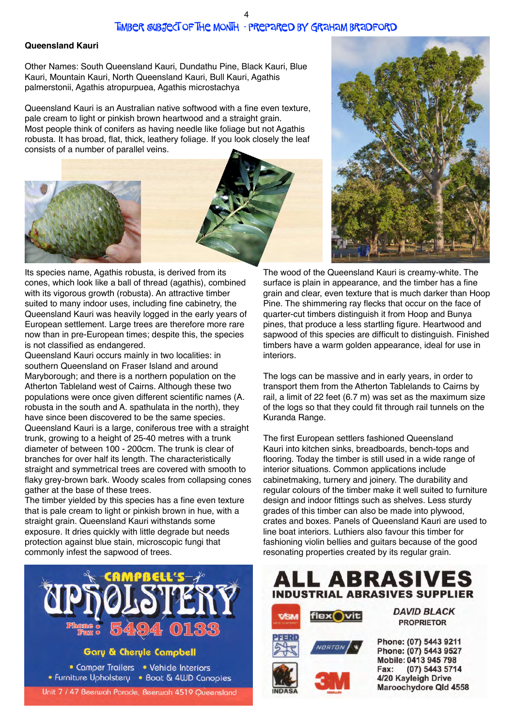#### **Queensland Kauri**

Other Names: South Queensland Kauri, Dundathu Pine, Black Kauri, Blue Kauri, Mountain Kauri, North Queensland Kauri, Bull Kauri, Agathis palmerstonii, Agathis atropurpuea, Agathis microstachya

Queensland Kauri is an Australian native softwood with a fine even texture, pale cream to light or pinkish brown heartwood and a straight grain. Most people think of conifers as having needle like foliage but not Agathis robusta. It has broad, flat, thick, leathery foliage. If you look closely the leaf consists of a number of parallel veins.







Its species name, Agathis robusta, is derived from its cones, which look like a ball of thread (agathis), combined with its vigorous growth (robusta). An attractive timber suited to many indoor uses, including fine cabinetry, the Queensland Kauri was heavily logged in the early years of European settlement. Large trees are therefore more rare now than in pre-European times; despite this, the species is not classified as endangered.

Queensland Kauri occurs mainly in two localities: in southern Queensland on Fraser Island and around Maryborough; and there is a northern population on the Atherton Tableland west of Cairns. Although these two populations were once given different scientific names (A. robusta in the south and A. spathulata in the north), they have since been discovered to be the same species. Queensland Kauri is a large, coniferous tree with a straight trunk, growing to a height of 25-40 metres with a trunk diameter of between 100 - 200cm. The trunk is clear of branches for over half its length. The characteristically straight and symmetrical trees are covered with smooth to flaky grey-brown bark. Woody scales from collapsing cones gather at the base of these trees.

The timber yielded by this species has a fine even texture that is pale cream to light or pinkish brown in hue, with a straight grain. Queensland Kauri withstands some exposure. It dries quickly with little degrade but needs protection against blue stain, microscopic fungi that commonly infest the sapwood of trees.



**Gary & Cheryle Campbell** 

• Comper Trailers • Vehicle Interiors • Furniture Upholstery • Boat & 4WD Canopies Unit 7 / 47 Beerwah Parade, Beerwah 4519 Queensland

The wood of the Queensland Kauri is creamy-white. The surface is plain in appearance, and the timber has a fine grain and clear, even texture that is much darker than Hoop Pine. The shimmering ray flecks that occur on the face of quarter-cut timbers distinguish it from Hoop and Bunya pines, that produce a less startling figure. Heartwood and sapwood of this species are difficult to distinguish. Finished timbers have a warm golden appearance, ideal for use in interiors.

The logs can be massive and in early years, in order to transport them from the Atherton Tablelands to Cairns by rail, a limit of 22 feet (6.7 m) was set as the maximum size of the logs so that they could fit through rail tunnels on the Kuranda Range.

The first European settlers fashioned Queensland Kauri into kitchen sinks, breadboards, bench-tops and flooring. Today the timber is still used in a wide range of interior situations. Common applications include cabinetmaking, turnery and joinery. The durability and regular colours of the timber make it well suited to furniture design and indoor fittings such as shelves. Less sturdy grades of this timber can also be made into plywood, crates and boxes. Panels of Queensland Kauri are used to line boat interiors. Luthiers also favour this timber for fashioning violin bellies and guitars because of the good resonating properties created by its regular grain.







**DAVID BLACK PROPRIETOR** 

Phone: (07) 5443 9211 Phone: (07) 5443 9527 Mobile: 0413 945 798 (07) 5443 5714 Fax: 4/20 Kayleigh Drive Maroochydore Qld 4558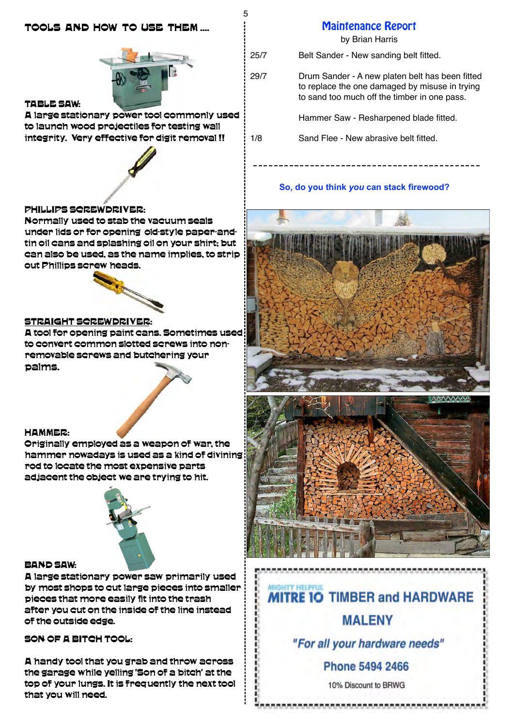# TOOLS AND HOW TO USE THEM ....



5

#### TABLE SAW:

A large stationary power tool commonly used to launch wood projectiles for testing wall integrity. Very effective for digit removal !!

### PHILLIPS SCREWDRIVER:

Normally used to stab the vacuum seals under lids or for opening old-style paper-andtin oil cans and splashing oil on your shirt; but can also be used, as the name implies, to strip out Phillips screw heads.



#### STRAIGHT SCREWDRIVER:

A tool for opening paint cans. Sometimes used to convert common slotted screws into nonremovable screws and butchering your palms.

#### HAMMER:

Originally employed as a weapon of war, the hammer nowadays is used as a kind of divining rod to locate the most expensive parts adjacent the object we are trying to hit.



#### BAND SAW:

A large stationary power saw primarily used by most shops to cut large pieces into smaller pieces that more easily fit into the trash after you cut on the inside of the line instead of the outside edge.

SON OF A BITCH TOOL:

A handy tool that you grab and throw across the garage while yelling 'Son of a bitch' at the top of your lungs. It is frequently the next tool that you will need.

# Maintenance Report

by Brian Harris

25/7 Belt Sander - New sanding belt fitted.

29/7 Drum Sander - A new platen belt has been fitted to replace the one damaged by misuse in trying to sand too much off the timber in one pass.

Hammer Saw - Resharpened blade fitted.

1/8 Sand Flee - New abrasive belt fitted.

#### **So, do you think** *you* **can stack firewood?**





# **GHTY HELPFUL MITRE 10 TIMBER and HARDWARE**

# **MALENY**

"For all your hardware needs"

**Phone 5494 2466** 

10% Discount to BRWG